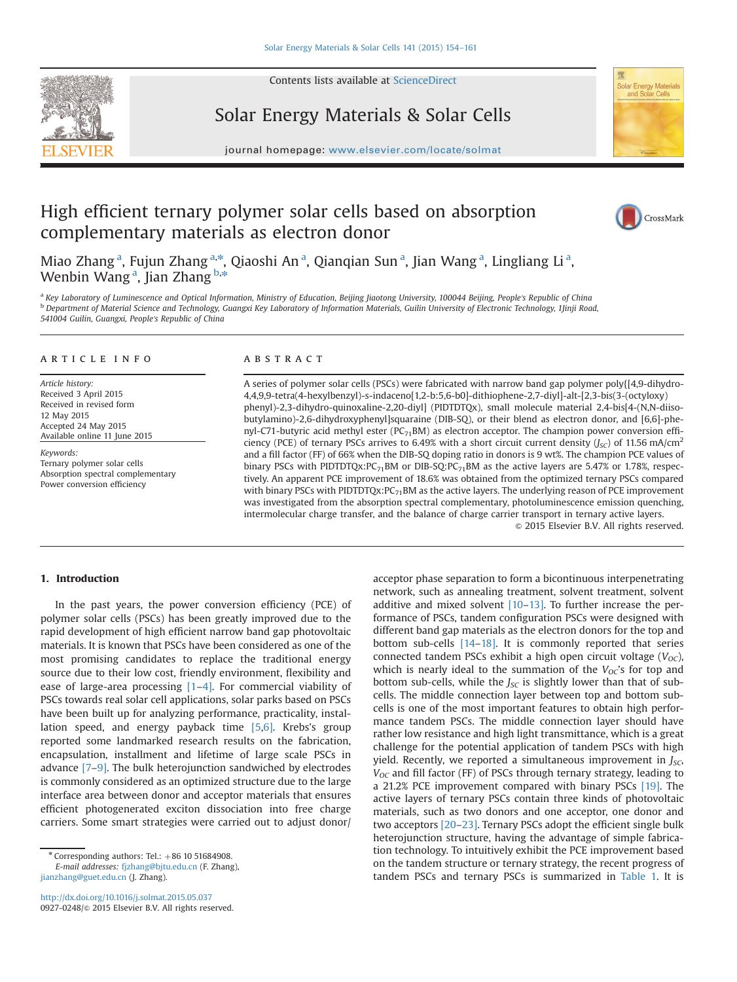Contents lists available at [ScienceDirect](www.sciencedirect.com/science/journal/09270248)



Solar Energy Materials & Solar Cells





# High efficient ternary polymer solar cells based on absorption complementary materials as electron donor



Miao Zhang<sup>a</sup>, Fujun Zhang<sup>a,\*</sup>, Qiaoshi An<sup>a</sup>, Qianqian Sun<sup>a</sup>, Jian Wang<sup>a</sup>, Lingliang Li<sup>a</sup>, Wenbin Wang<sup>a</sup>, Jian Zhang <sup>b,</sup>\*

a Key Laboratory of Luminescence and Optical Information, Ministry of Education, Beijing Jiaotong University, 100044 Beijing, People's Republic of China **b** Department of Material Science and Technology, Guangxi Key Laboratory of Information Materials, Guilin University of Electronic Technology, 1Jinji Road, 541004 Guilin, Guangxi, People's Republic of China

### article info

Article history: Received 3 April 2015 Received in revised form 12 May 2015 Accepted 24 May 2015 Available online 11 June 2015

Keywords: Ternary polymer solar cells Absorption spectral complementary Power conversion efficiency

#### **ABSTRACT**

A series of polymer solar cells (PSCs) were fabricated with narrow band gap polymer poly{[4,9-dihydro-4,4,9,9-tetra(4-hexylbenzyl)-s-indaceno[1,2-b:5,6-b0]-dithiophene-2,7-diyl]-alt-[2,3-bis(3-(octyloxy) phenyl)-2,3-dihydro-quinoxaline-2,20-diyl] (PIDTDTQx), small molecule material 2,4-bis[4-(N,N-diisobutylamino)-2,6-dihydroxyphenyl]squaraine (DIB-SQ), or their blend as electron donor, and [6,6]-phenyl-C71-butyric acid methyl ester (PC<sub>71</sub>BM) as electron acceptor. The champion power conversion efficiency (PCE) of ternary PSCs arrives to 6.49% with a short circuit current density ( $J<sub>SC</sub>$ ) of 11.56 mA/cm<sup>2</sup> and a fill factor (FF) of 66% when the DIB-SQ doping ratio in donors is 9 wt%. The champion PCE values of binary PSCs with PIDTDTQx:PC<sub>71</sub>BM or DIB-SQ:PC<sub>71</sub>BM as the active layers are 5.47% or 1.78%, respectively. An apparent PCE improvement of 18.6% was obtained from the optimized ternary PSCs compared with binary PSCs with PIDTDTQx: $PC_{71}$ BM as the active layers. The underlying reason of PCE improvement was investigated from the absorption spectral complementary, photoluminescence emission quenching, intermolecular charge transfer, and the balance of charge carrier transport in ternary active layers.

 $\odot$  2015 Elsevier B.V. All rights reserved.

## 1. Introduction

In the past years, the power conversion efficiency (PCE) of polymer solar cells (PSCs) has been greatly improved due to the rapid development of high efficient narrow band gap photovoltaic materials. It is known that PSCs have been considered as one of the most promising candidates to replace the traditional energy source due to their low cost, friendly environment, flexibility and ease of large-area processing [1–4]. For commercial viability of PSCs towards real solar cell applications, solar parks based on PSCs have been built up for analyzing performance, practicality, installation speed, and energy payback time [5,6]. Krebs's group reported some landmarked research results on the fabrication, encapsulation, installment and lifetime of large scale PSCs in advance [7–9]. The bulk heterojunction sandwiched by electrodes is commonly considered as an optimized structure due to the large interface area between donor and acceptor materials that ensures efficient photogenerated exciton dissociation into free charge carriers. Some smart strategies were carried out to adjust donor/

E-mail addresses: [fjzhang@bjtu.edu.cn](mailto:fjzhang@bjtu.edu.cn) (F. Zhang), [jianzhang@guet.edu.cn](mailto:jianzhang@guet.edu.cn) (J. Zhang).

<http://dx.doi.org/10.1016/j.solmat.2015.05.037> 0927-0248/@ 2015 Elsevier B.V. All rights reserved. acceptor phase separation to form a bicontinuous interpenetrating network, such as annealing treatment, solvent treatment, solvent additive and mixed solvent  $[10-13]$ . To further increase the performance of PSCs, tandem configuration PSCs were designed with different band gap materials as the electron donors for the top and bottom sub-cells [14–18]. It is commonly reported that series connected tandem PSCs exhibit a high open circuit voltage  $(V_{OC})$ , which is nearly ideal to the summation of the  $V_{OC}$ 's for top and bottom sub-cells, while the  $J_{SC}$  is slightly lower than that of subcells. The middle connection layer between top and bottom subcells is one of the most important features to obtain high performance tandem PSCs. The middle connection layer should have rather low resistance and high light transmittance, which is a great challenge for the potential application of tandem PSCs with high yield. Recently, we reported a simultaneous improvement in  $J_{SC}$ ,  $V_{OC}$  and fill factor (FF) of PSCs through ternary strategy, leading to a 21.2% PCE improvement compared with binary PSCs [19]. The active layers of ternary PSCs contain three kinds of photovoltaic materials, such as two donors and one acceptor, one donor and two acceptors [20–23]. Ternary PSCs adopt the efficient single bulk heterojunction structure, having the advantage of simple fabrication technology. To intuitively exhibit the PCE improvement based on the tandem structure or ternary strategy, the recent progress of tandem PSCs and ternary PSCs is summarized in Table 1. It is

 $*$  Corresponding authors: Tel.:  $+86$  10 51684908.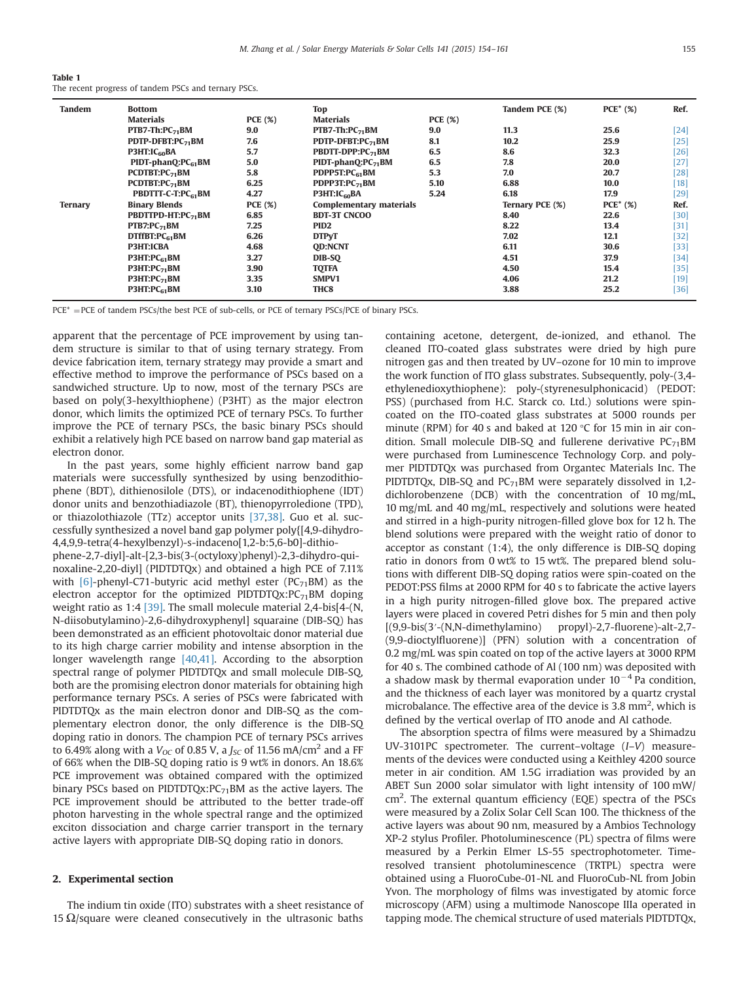| Table 1                                              |  |  |  |  |
|------------------------------------------------------|--|--|--|--|
| The recent progress of tandem PSCs and ternary PSCs. |  |  |  |  |

| Tandem         | <b>Bottom</b>                  |                | <b>Top</b>                         |                | Tandem PCE (%)  | $PCE^*$ (%) | Ref.   |
|----------------|--------------------------------|----------------|------------------------------------|----------------|-----------------|-------------|--------|
|                | <b>Materials</b>               | <b>PCE</b> (%) | Materials                          | <b>PCE</b> (%) |                 |             |        |
|                | $PTB7-Th:PC_{71}BM$            | 9.0            | $PTB7-Th:PC_{71}BM$                | 9.0            | 11.3            | 25.6        | $[24]$ |
|                | PDTP-DFBT:PC <sub>71</sub> BM  | 7.6            | PDTP-DFBT:PC71BM                   | 8.1            | 10.2            | 25.9        | [25]   |
|                | P3HT:IC <sub>60</sub> BA       | 5.7            | <b>PBDTT-DPP:PC<sub>71</sub>BM</b> | 6.5            | 8.6             | 32.3        | [26]   |
|                | $PIDT\text{-}phanO:PC_{61}BM$  | 5.0            | $PIDT$ -phanO: $PC_{71}BM$         | 6.5            | 7.8             | 20.0        | [27]   |
|                | $PCDTBT:PC_{71}BM$             | 5.8            | PDPP5T:PC61BM                      | 5.3            | 7.0             | 20.7        | [28]   |
|                | PCDTBT:PC <sub>71</sub> BM     | 6.25           | PDPP3T:P $C_{71}$ BM               | 5.10           | 6.88            | 10.0        | 18     |
|                | PBDTTT-C-T:PC <sub>61</sub> BM | 4.27           | P3HT:IC <sub>60</sub> BA           | 5.24           | 6.18            | 17.9        | $[29]$ |
| <b>Ternary</b> | <b>Binary Blends</b>           | <b>PCE</b> (%) | <b>Complementary materials</b>     |                | Ternary PCE (%) | $PCE^*$ (%) | Ref.   |
|                | PBDTTPD-HT:PC <sub>71</sub> BM | 6.85           | <b>BDT-3T CNCOO</b>                |                | 8.40            | 22.6        | $[30]$ |
|                | $PTB7:PC_{71}BM$               | 7.25           | PID <sub>2</sub>                   |                | 8.22            | 13.4        | [31]   |
|                | $DTffBT:PC_{61}BM$             | 6.26           | <b>DTPyT</b>                       |                | 7.02            | 12.1        | [32]   |
|                | <b>P3HT:ICBA</b>               | 4.68           | <b>OD:NCNT</b>                     |                | 6.11            | 30.6        | [33]   |
|                | P3HT:PC <sub>61</sub> BM       | 3.27           | DIB-SO                             |                | 4.51            | 37.9        | [34]   |
|                | $P3HT:PC_{71}BM$               | 3.90           | <b>TQTFA</b>                       |                | 4.50            | 15.4        | $[35]$ |
|                | $P3HT:PC_{71}BM$               | 3.35           | SMPV1                              |                | 4.06            | 21.2        | $[19]$ |
|                | P3HT:PC <sub>61</sub> BM       | 3.10           | THC8                               |                | 3.88            | 25.2        | $[36]$ |

PCE\* = PCE of tandem PSCs/the best PCE of sub-cells, or PCE of ternary PSCs/PCE of binary PSCs.

apparent that the percentage of PCE improvement by using tandem structure is similar to that of using ternary strategy. From device fabrication item, ternary strategy may provide a smart and effective method to improve the performance of PSCs based on a sandwiched structure. Up to now, most of the ternary PSCs are based on poly(3-hexylthiophene) (P3HT) as the major electron donor, which limits the optimized PCE of ternary PSCs. To further improve the PCE of ternary PSCs, the basic binary PSCs should exhibit a relatively high PCE based on narrow band gap material as electron donor.

In the past years, some highly efficient narrow band gap materials were successfully synthesized by using benzodithiophene (BDT), dithienosilole (DTS), or indacenodithiophene (IDT) donor units and benzothiadiazole (BT), thienopyrroledione (TPD), or thiazolothiazole (TTz) acceptor units [37,38]. Guo et al. successfully synthesized a novel band gap polymer poly{[4,9-dihydro-4,4,9,9-tetra(4-hexylbenzyl)-s-indaceno[1,2-b:5,6-b0]-dithio-

phene-2,7-diyl]-alt-[2,3-bis(3-(octyloxy)phenyl)-2,3-dihydro-quinoxaline-2,20-diyl] (PIDTDTQx) and obtained a high PCE of 7.11% with  $[6]$ -phenyl-C71-butyric acid methyl ester (PC<sub>71</sub>BM) as the electron acceptor for the optimized PIDTDTQx: $PC_{71}$ BM doping weight ratio as 1:4 [39]. The small molecule material 2,4-bis[4-(N, N-diisobutylamino)-2,6-dihydroxyphenyl] squaraine (DIB-SQ) has been demonstrated as an efficient photovoltaic donor material due to its high charge carrier mobility and intense absorption in the longer wavelength range [40,41]. According to the absorption spectral range of polymer PIDTDTQx and small molecule DIB-SQ, both are the promising electron donor materials for obtaining high performance ternary PSCs. A series of PSCs were fabricated with PIDTDTQx as the main electron donor and DIB-SQ as the complementary electron donor, the only difference is the DIB-SQ doping ratio in donors. The champion PCE of ternary PSCs arrives to 6.49% along with a  $V_{OC}$  of 0.85 V, a  $J_{SC}$  of 11.56 mA/cm<sup>2</sup> and a FF of 66% when the DIB-SQ doping ratio is 9 wt% in donors. An 18.6% PCE improvement was obtained compared with the optimized binary PSCs based on PIDTDTQx: $PC_{71}$ BM as the active layers. The PCE improvement should be attributed to the better trade-off photon harvesting in the whole spectral range and the optimized exciton dissociation and charge carrier transport in the ternary active layers with appropriate DIB-SQ doping ratio in donors.

#### 2. Experimental section

The indium tin oxide (ITO) substrates with a sheet resistance of 15  $\Omega$ /square were cleaned consecutively in the ultrasonic baths

containing acetone, detergent, de-ionized, and ethanol. The cleaned ITO-coated glass substrates were dried by high pure nitrogen gas and then treated by UV–ozone for 10 min to improve the work function of ITO glass substrates. Subsequently, poly-(3,4 ethylenedioxythiophene): poly-(styrenesulphonicacid) (PEDOT: PSS) (purchased from H.C. Starck co. Ltd.) solutions were spincoated on the ITO-coated glass substrates at 5000 rounds per minute (RPM) for 40 s and baked at 120 °C for 15 min in air condition. Small molecule DIB-SQ and fullerene derivative  $PC_{71}$ BM were purchased from Luminescence Technology Corp. and polymer PIDTDTQx was purchased from Organtec Materials Inc. The PIDTDTQx, DIB-SQ and  $PC_{71}$ BM were separately dissolved in 1,2dichlorobenzene (DCB) with the concentration of 10 mg/mL, 10 mg/mL and 40 mg/mL, respectively and solutions were heated and stirred in a high-purity nitrogen-filled glove box for 12 h. The blend solutions were prepared with the weight ratio of donor to acceptor as constant (1:4), the only difference is DIB-SQ doping ratio in donors from 0 wt% to 15 wt%. The prepared blend solutions with different DIB-SQ doping ratios were spin-coated on the PEDOT:PSS films at 2000 RPM for 40 s to fabricate the active layers in a high purity nitrogen-filled glove box. The prepared active layers were placed in covered Petri dishes for 5 min and then poly [(9,9-bis(3′-(N,N-dimethylamino) propyl)-2,7-fluorene)-alt-2,7- (9,9-dioctylfluorene)] (PFN) solution with a concentration of 0.2 mg/mL was spin coated on top of the active layers at 3000 RPM for 40 s. The combined cathode of Al (100 nm) was deposited with a shadow mask by thermal evaporation under  $10^{-4}$  Pa condition, and the thickness of each layer was monitored by a quartz crystal microbalance. The effective area of the device is 3.8 mm<sup>2</sup>, which is defined by the vertical overlap of ITO anode and Al cathode.

The absorption spectra of films were measured by a Shimadzu UV-3101PC spectrometer. The current–voltage (I–V) measurements of the devices were conducted using a Keithley 4200 source meter in air condition. AM 1.5G irradiation was provided by an ABET Sun 2000 solar simulator with light intensity of 100 mW/ cm<sup>2</sup>. The external quantum efficiency (EQE) spectra of the PSCs were measured by a Zolix Solar Cell Scan 100. The thickness of the active layers was about 90 nm, measured by a Ambios Technology XP-2 stylus Profiler. Photoluminescence (PL) spectra of films were measured by a Perkin Elmer LS-55 spectrophotometer. Timeresolved transient photoluminescence (TRTPL) spectra were obtained using a FluoroCube-01-NL and FluoroCub-NL from Jobin Yvon. The morphology of films was investigated by atomic force microscopy (AFM) using a multimode Nanoscope IIIa operated in tapping mode. The chemical structure of used materials PIDTDTQx,